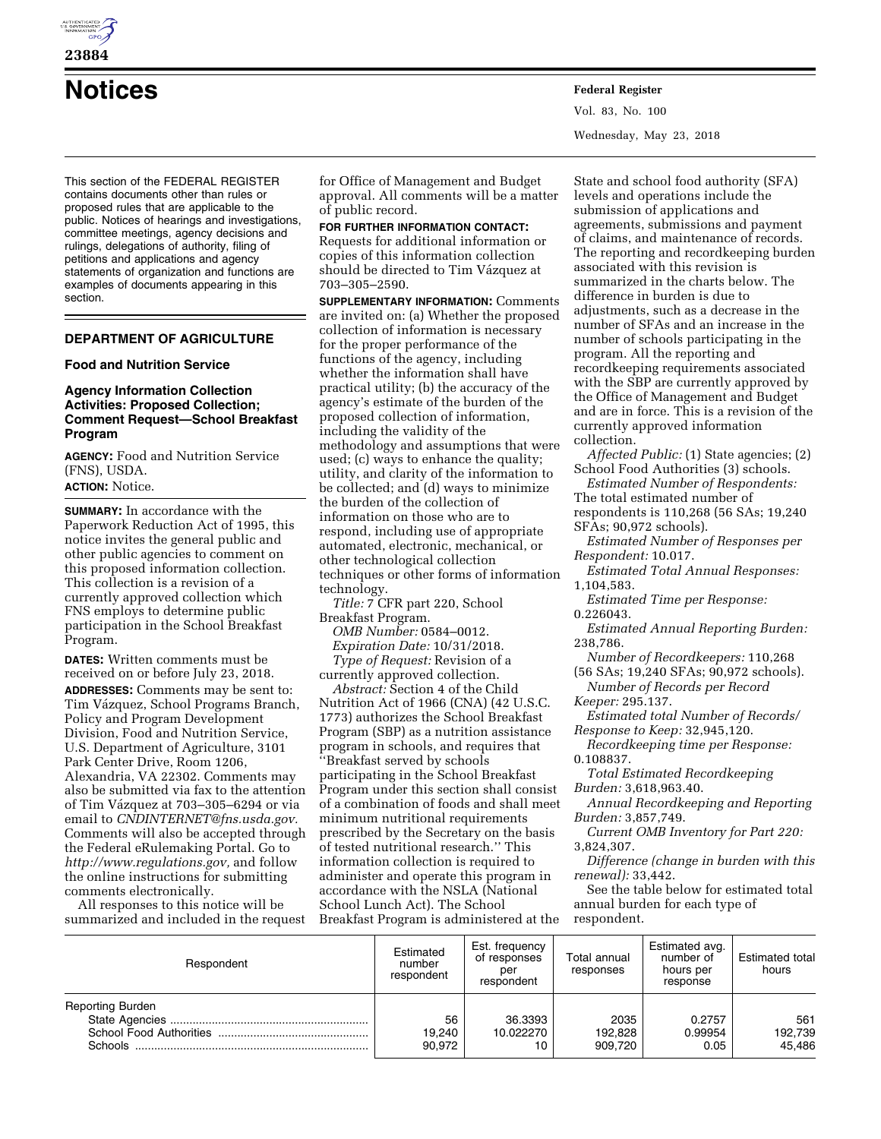

**23884** 

**Notices Federal Register**

Vol. 83, No. 100 Wednesday, May 23, 2018

This section of the FEDERAL REGISTER contains documents other than rules or proposed rules that are applicable to the public. Notices of hearings and investigations, committee meetings, agency decisions and rulings, delegations of authority, filing of petitions and applications and agency statements of organization and functions are examples of documents appearing in this section.

# **DEPARTMENT OF AGRICULTURE**

## **Food and Nutrition Service**

### **Agency Information Collection Activities: Proposed Collection; Comment Request—School Breakfast Program**

**AGENCY:** Food and Nutrition Service (FNS), USDA.

**ACTION:** Notice.

**SUMMARY:** In accordance with the Paperwork Reduction Act of 1995, this notice invites the general public and other public agencies to comment on this proposed information collection. This collection is a revision of a currently approved collection which FNS employs to determine public participation in the School Breakfast Program.

**DATES:** Written comments must be received on or before July 23, 2018. **ADDRESSES:** Comments may be sent to: Tim Vázquez, School Programs Branch, Policy and Program Development Division, Food and Nutrition Service, U.S. Department of Agriculture, 3101 Park Center Drive, Room 1206, Alexandria, VA 22302. Comments may also be submitted via fax to the attention of Tim Vázquez at 703–305–6294 or via email to *[CNDINTERNET@fns.usda.gov.](mailto:CNDINTERNET@fns.usda.gov)*  Comments will also be accepted through the Federal eRulemaking Portal. Go to *[http://www.regulations.gov,](http://www.regulations.gov)* and follow the online instructions for submitting comments electronically.

All responses to this notice will be summarized and included in the request

for Office of Management and Budget approval. All comments will be a matter of public record.

**FOR FURTHER INFORMATION CONTACT:**  Requests for additional information or copies of this information collection should be directed to Tim Vázquez at 703–305–2590.

**SUPPLEMENTARY INFORMATION:** Comments are invited on: (a) Whether the proposed collection of information is necessary for the proper performance of the functions of the agency, including whether the information shall have practical utility; (b) the accuracy of the agency's estimate of the burden of the proposed collection of information, including the validity of the methodology and assumptions that were used; (c) ways to enhance the quality; utility, and clarity of the information to be collected; and (d) ways to minimize the burden of the collection of information on those who are to respond, including use of appropriate automated, electronic, mechanical, or other technological collection techniques or other forms of information technology.

*Title:* 7 CFR part 220, School Breakfast Program.

*OMB Number:* 0584–0012. *Expiration Date:* 10/31/2018. *Type of Request:* Revision of a currently approved collection.

*Abstract:* Section 4 of the Child Nutrition Act of 1966 (CNA) (42 U.S.C. 1773) authorizes the School Breakfast Program (SBP) as a nutrition assistance program in schools, and requires that 'Breakfast served by schools participating in the School Breakfast Program under this section shall consist of a combination of foods and shall meet minimum nutritional requirements prescribed by the Secretary on the basis of tested nutritional research.'' This information collection is required to administer and operate this program in accordance with the NSLA (National School Lunch Act). The School Breakfast Program is administered at the

State and school food authority (SFA) levels and operations include the submission of applications and agreements, submissions and payment of claims, and maintenance of records. The reporting and recordkeeping burden associated with this revision is summarized in the charts below. The difference in burden is due to adjustments, such as a decrease in the number of SFAs and an increase in the number of schools participating in the program. All the reporting and recordkeeping requirements associated with the SBP are currently approved by the Office of Management and Budget and are in force. This is a revision of the currently approved information collection.

*Affected Public:* (1) State agencies; (2) School Food Authorities (3) schools.

*Estimated Number of Respondents:*  The total estimated number of respondents is 110,268 (56 SAs; 19,240 SFAs; 90,972 schools).

*Estimated Number of Responses per Respondent:* 10.017.

*Estimated Total Annual Responses:*  1,104,583.

*Estimated Time per Response:*  0.226043.

*Estimated Annual Reporting Burden:*  238,786.

*Number of Recordkeepers:* 110,268 (56 SAs; 19,240 SFAs; 90,972 schools).

*Number of Records per Record Keeper:* 295.137.

*Estimated total Number of Records/ Response to Keep:* 32,945,120.

*Recordkeeping time per Response:*  0.108837.

*Total Estimated Recordkeeping Burden:* 3,618,963.40.

*Annual Recordkeeping and Reporting Burden:* 3,857,749.

*Current OMB Inventory for Part 220:*  3,824,307.

*Difference (change in burden with this renewal):* 33,442.

See the table below for estimated total annual burden for each type of respondent.

| Respondent                         | Estimated<br>number<br>respondent | Est. frequency<br>of responses<br>per<br>respondent | Total annual<br>responses  | Estimated avg.<br>number of<br>hours per<br>response | <b>Estimated total</b><br>hours |
|------------------------------------|-----------------------------------|-----------------------------------------------------|----------------------------|------------------------------------------------------|---------------------------------|
| <b>Reporting Burden</b><br>Schools | 56<br>19.240<br>90,972            | 36.3393<br>10.022270<br>10                          | 2035<br>192.828<br>909.720 | 0.2757<br>0.99954<br>0.05                            | 561<br>192,739<br>45,486        |